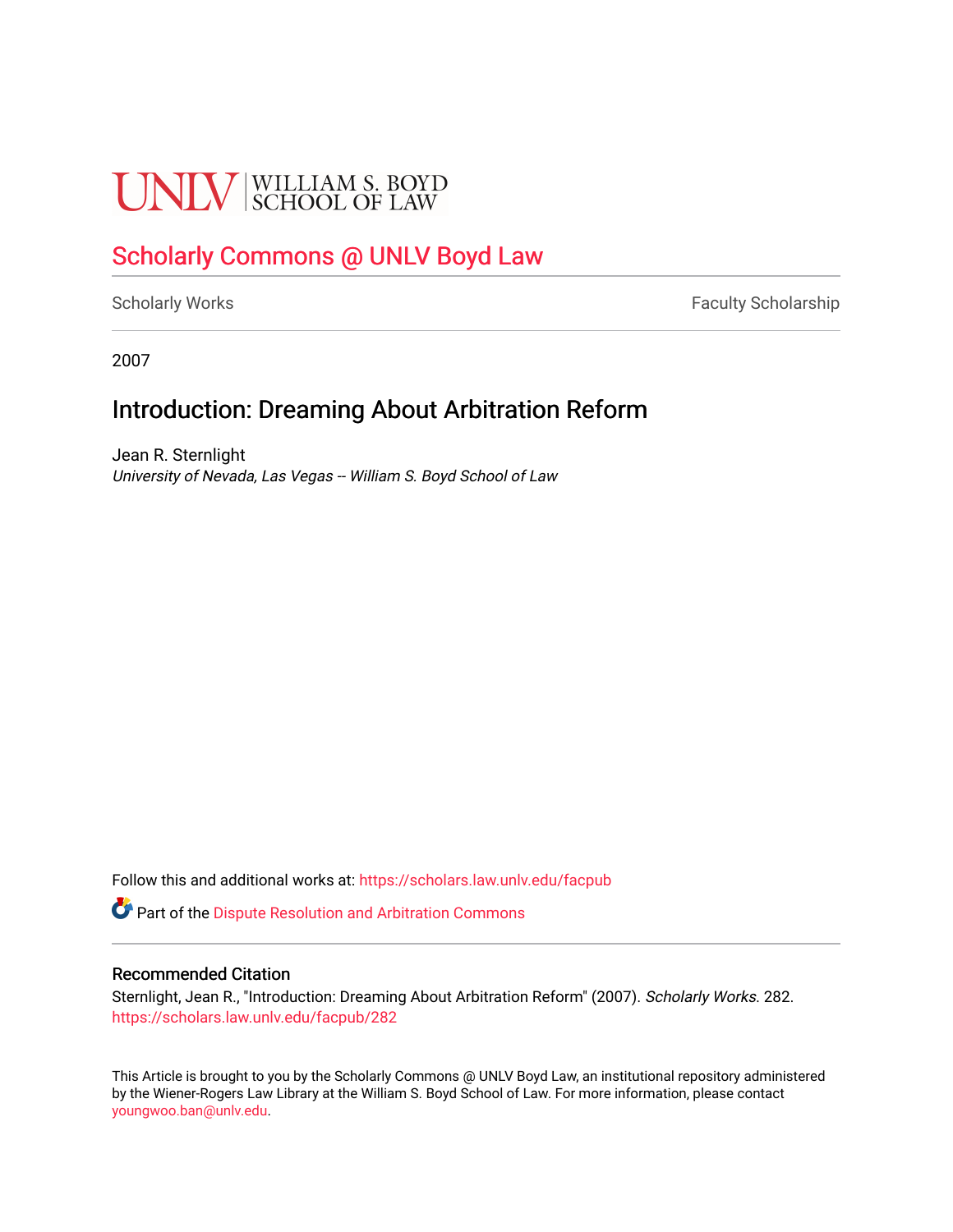# **UNLV** SCHOOL OF LAW

## [Scholarly Commons @ UNLV Boyd Law](https://scholars.law.unlv.edu/)

[Scholarly Works](https://scholars.law.unlv.edu/facpub) **Faculty Scholarship** Faculty Scholarship

2007

## Introduction: Dreaming About Arbitration Reform

Jean R. Sternlight University of Nevada, Las Vegas -- William S. Boyd School of Law

Follow this and additional works at: [https://scholars.law.unlv.edu/facpub](https://scholars.law.unlv.edu/facpub?utm_source=scholars.law.unlv.edu%2Ffacpub%2F282&utm_medium=PDF&utm_campaign=PDFCoverPages)

**C** Part of the Dispute Resolution and Arbitration Commons

#### Recommended Citation

Sternlight, Jean R., "Introduction: Dreaming About Arbitration Reform" (2007). Scholarly Works. 282. [https://scholars.law.unlv.edu/facpub/282](https://scholars.law.unlv.edu/facpub/282?utm_source=scholars.law.unlv.edu%2Ffacpub%2F282&utm_medium=PDF&utm_campaign=PDFCoverPages)

This Article is brought to you by the Scholarly Commons @ UNLV Boyd Law, an institutional repository administered by the Wiener-Rogers Law Library at the William S. Boyd School of Law. For more information, please contact [youngwoo.ban@unlv.edu.](mailto:youngwoo.ban@unlv.edu)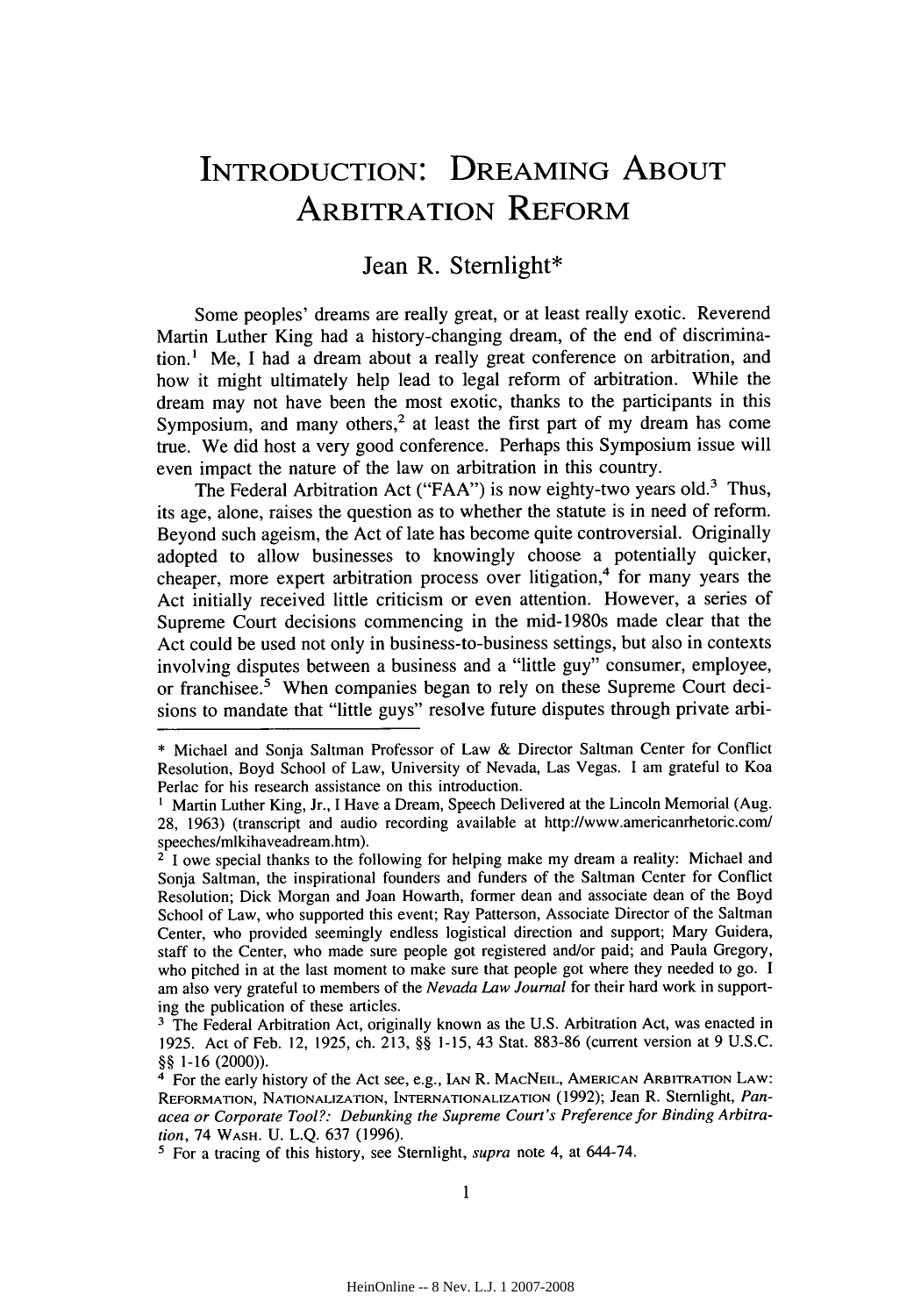## **INTRODUCTION: DREAMING ABOUT** ARBITRATION REFORM

### Jean R. Sternlight\*

Some peoples' dreams are really great, or at least really exotic. Reverend Martin Luther King had a history-changing dream, of the end of discrimination.1 Me, I had a dream about a really great conference on arbitration, and how it might ultimately help lead to legal reform of arbitration. While the dream may not have been the most exotic, thanks to the participants in this Symposium, and many others,<sup>2</sup> at least the first part of my dream has come true. We did host a very good conference. Perhaps this Symposium issue will even impact the nature of the law on arbitration in this country.

The Federal Arbitration Act ("FAA") is now eighty-two years old.<sup>3</sup> Thus, its age, alone, raises the question as to whether the statute is in need of reform. Beyond such ageism, the Act of late has become quite controversial. Originally adopted to allow businesses to knowingly choose a potentially quicker, cheaper, more expert arbitration process over litigation,<sup>4</sup> for many years the Act initially received little criticism or even attention. However, a series of Supreme Court decisions commencing in the mid-1980s made clear that the Act could be used not only in business-to-business settings, but also in contexts involving disputes between a business and a "little guy" consumer, employee, or franchisee.<sup>5</sup> When companies began to rely on these Supreme Court decisions to mandate that "little guys" resolve future disputes through private arbi-

<sup>\*</sup> Michael and Sonja Saltman Professor of Law & Director Saltman Center for Conflict Resolution, Boyd School of Law, University of Nevada, Las Vegas. I am grateful to Koa Perlac for his research assistance on this introduction.

<sup>&</sup>lt;sup>1</sup> Martin Luther King, Jr., I Have a Dream, Speech Delivered at the Lincoln Memorial (Aug. 28, 1963) (transcript and audio recording available at http://www.americanrhetoric.com/ speeches/mlkihaveadream.htm).

<sup>&</sup>lt;sup>2</sup> I owe special thanks to the following for helping make my dream a reality: Michael and Sonja Saltman, the inspirational founders and funders of the Saltman Center for Conflict Resolution; Dick Morgan and Joan Howarth, former dean and associate dean of the Boyd School of Law, who supported this event; Ray Patterson, Associate Director of the Saltman Center, who provided seemingly endless logistical direction and support; Mary Guidera, staff to the Center, who made sure people got registered and/or paid; and Paula Gregory, who pitched in at the last moment to make sure that people got where they needed to go. I am also very grateful to members of the *Nevada Law Journal* for their hard work in supporting the publication of these articles.

<sup>&</sup>lt;sup>3</sup> The Federal Arbitration Act, originally known as the U.S. Arbitration Act, was enacted in 1925. Act of Feb. 12, 1925, ch. 213, §§ 1-15, 43 Stat. 883-86 (current version at 9 U.S.C. §§ 1-16 (2000)).

**<sup>&#</sup>x27;** For the early history of the Act see, e.g., **IAN** R. MACNEIL, AMERICAN ARBITRATION LAW: REFORMATION, **NATIONALIZATION,** INTERNATIONALIZATION (1992); Jean R. Stemlight, *Panacea or Corporate Tool?: Debunking the Supreme Court's Preference for Binding Arbitration,* 74 WASH. U. L.Q. 637 (1996).

**<sup>1</sup>** For a tracing of this history, see Sternlight, *supra* note 4, at 644-74.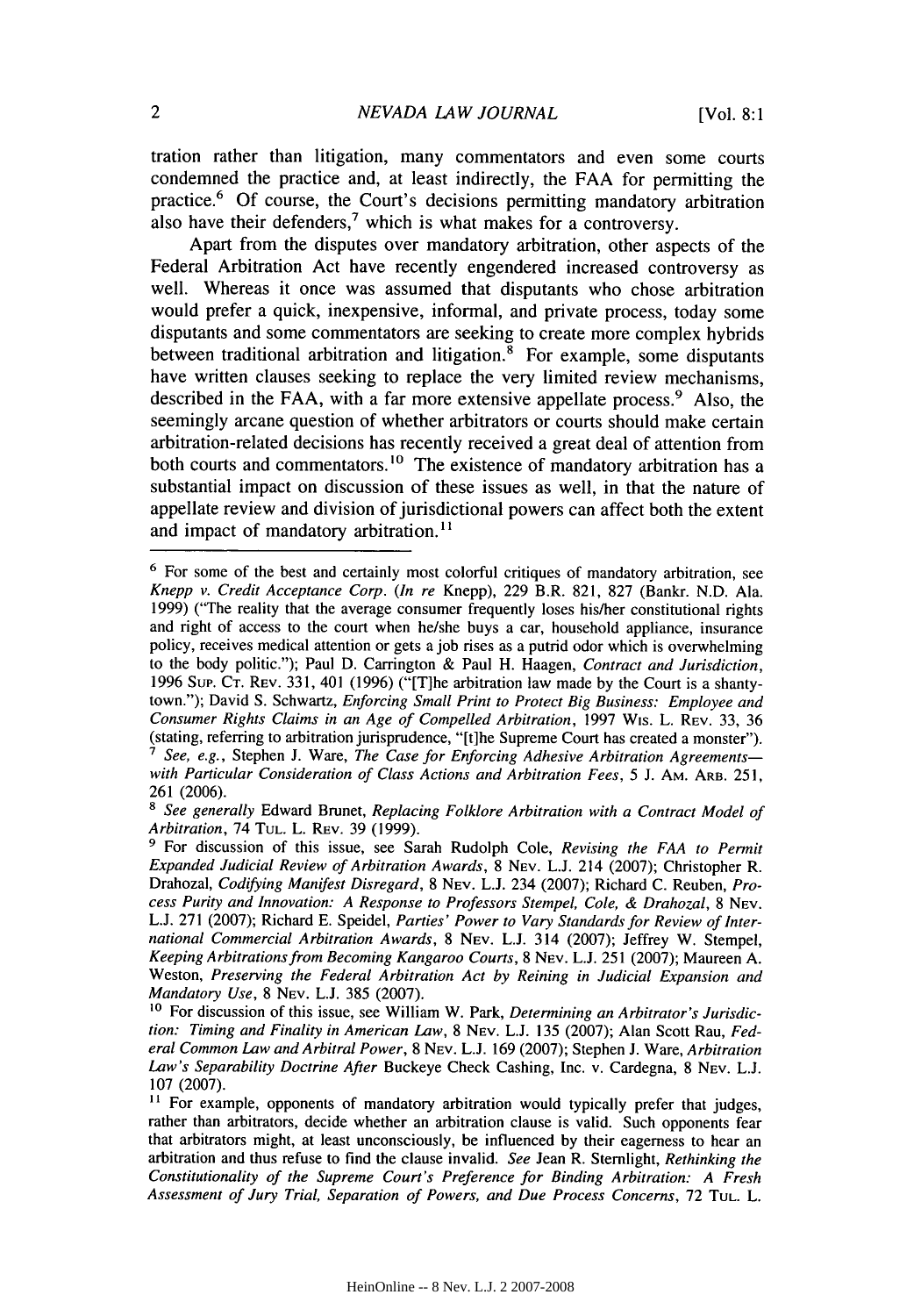tration rather than litigation, many commentators and even some courts condemned the practice and, at least indirectly, the **FAA** for permitting the practice.6 **Of** course, the Court's decisions permitting mandatory arbitration also have their defenders,<sup>7</sup> which is what makes for a controversy.

Apart from the disputes over mandatory arbitration, other aspects of the Federal Arbitration Act have recently engendered increased controversy as well. Whereas it once was assumed that disputants who chose arbitration would prefer a quick, inexpensive, informal, and private process, today some disputants and some commentators are seeking to create more complex hybrids between traditional arbitration and litigation.<sup>8</sup> For example, some disputants have written clauses seeking to replace the very limited review mechanisms, described in the FAA, with a far more extensive appellate process.<sup>9</sup> Also, the seemingly arcane question of whether arbitrators or courts should make certain arbitration-related decisions has recently received a great deal of attention from both courts and commentators.<sup>10</sup> The existence of mandatory arbitration has a substantial impact on discussion of these issues as well, in that the nature of appellate review and division of jurisdictional powers can affect both the extent and impact of mandatory arbitration.<sup>11</sup>

**<sup>6</sup>** For some of the best and certainly most colorful critiques of mandatory arbitration, see *Knepp v. Credit Acceptance Corp. (In re* Knepp), 229 B.R. 821, 827 (Bankr. N.D. Ala. 1999) ("The reality that the average consumer frequently loses his/her constitutional rights and right of access to the court when he/she buys a car, household appliance, insurance policy, receives medical attention or gets a job rises as a putrid odor which is overwhelming to the body politic."); Paul D. Carrington & Paul H. Haagen, *Contract and Jurisdiction,* 1996 Sup. CT. REV. 331, 401 (1996) ("[T]he arbitration law made by the Court is a shantytown."); David S. Schwartz, *Enforcing Small Print to Protect Big Business: Employee and Consumer Rights Claims in an Age of Compelled Arbitration,* 1997 Wis. L. REV. 33, 36 (stating, referring to arbitration jurisprudence, "[t]he Supreme Court has created a monster"). *I See, e.g.,* Stephen **J.** Ware, *The Case for Enforcing Adhesive Arbitration Agreementswith Particular Consideration of Class Actions and Arbitration Fees,* 5 J. AM. ARB. 251,

<sup>261 (2006).</sup>

**<sup>8</sup>***See generally* Edward Brunet, *Replacing Folklore Arbitration with a Contract Model of Arbitration,* 74 TUL. L. REv. 39 (1999).

**<sup>9</sup>**For discussion of this issue, see Sarah Rudolph Cole, *Revising the FAA to Permit Expanded Judicial Review of Arbitration Awards,* 8 NEV. L.J. 214 (2007); Christopher R. Drahozal, *Codifying Manifest Disregard,* 8 NEV. L.J. 234 (2007); Richard C. Reuben, *Process Purity and Innovation: A Response to Professors Stempel, Cole, & Drahozal,* 8 NEV. L.J. 271 (2007); Richard E. Speidel, *Parties' Power to Vary Standards for Review of International Commercial Arbitration Awards,* 8 NEV. L.J. 314 (2007); Jeffrey W. Stempel, *Keeping Arbitrations from Becoming Kangaroo Courts,* 8 NEV. L.J. 251 (2007); Maureen A. Weston, *Preserving the Federal Arbitration Act by Reining in Judicial Expansion and Mandatory Use,* 8 NEV. **L.J.** 385 (2007).

**<sup>10</sup>** For discussion of this issue, see William W. Park, *Determining an Arbitrator's Jurisdiction: Timing and Finality in American Law,* 8 NEV. L.J. 135 (2007); Alan Scott Rau, *Federal Common Law and Arbitral Power,* 8 NEV. L.J. 169 (2007); Stephen **J.** Ware, *Arbitration Law's Separability Doctrine After* Buckeye Check Cashing, Inc. v. Cardegna, 8 **NEV.** L.J. 107 (2007).

<sup>&</sup>lt;sup>11</sup> For example, opponents of mandatory arbitration would typically prefer that judges, rather than arbitrators, decide whether an arbitration clause is valid. Such opponents fear that arbitrators might, at least unconsciously, be influenced by their eagerness to hear an arbitration and thus refuse to find the clause invalid. *See* Jean R. Stemlight, *Rethinking the Constitutionality of the Supreme Court's Preference for Binding Arbitration: A Fresh Assessment of Jury Trial, Separation of Powers, and Due Process Concerns,* 72 **TUL.** L.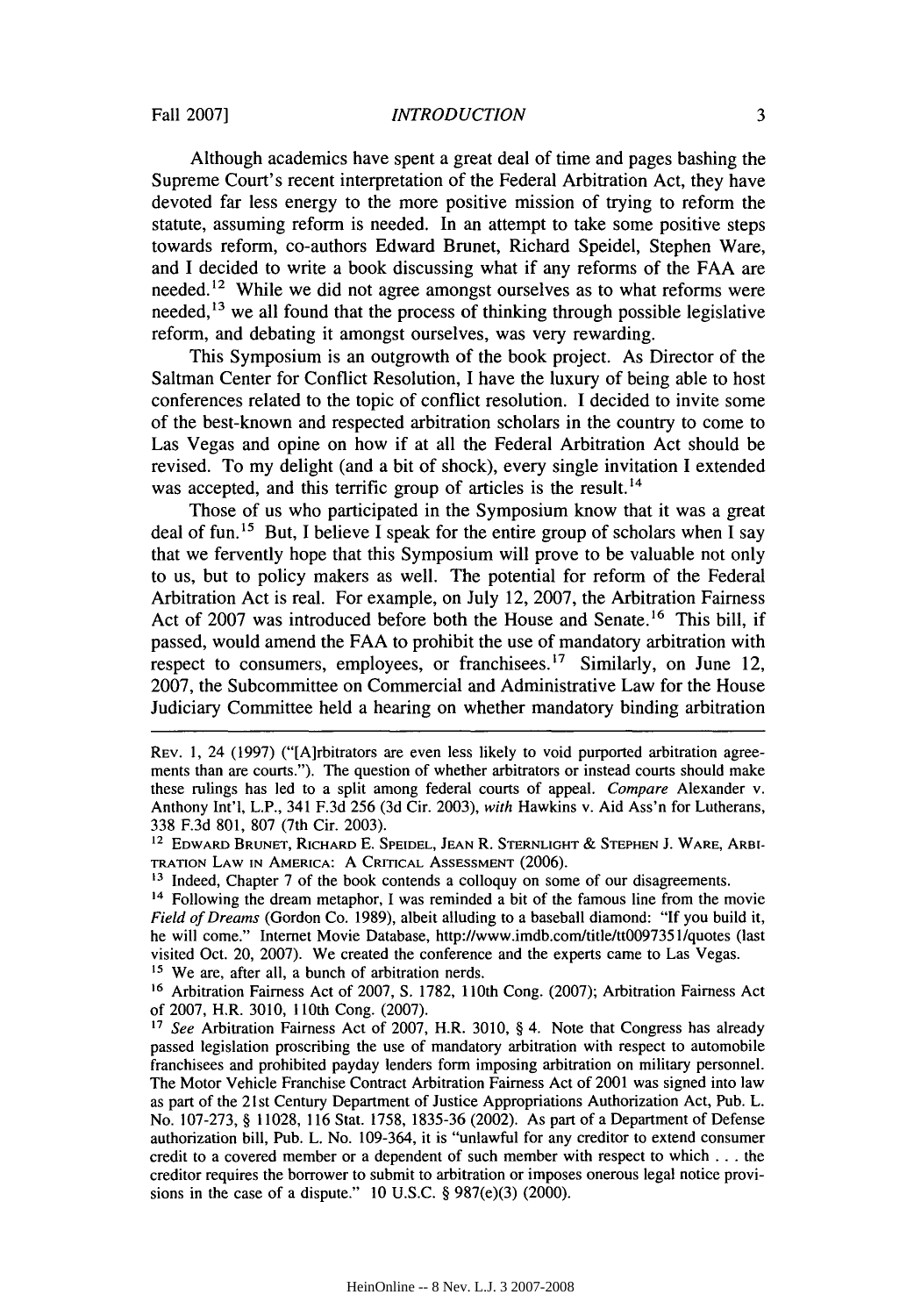#### *INTRODUCTION*

Although academics have spent a great deal of time and pages bashing the Supreme Court's recent interpretation of the Federal Arbitration Act, they have devoted far less energy to the more positive mission of trying to reform the statute, assuming reform is needed. In an attempt to take some positive steps towards reform, co-authors Edward Brunet, Richard Speidel, Stephen Ware, and I decided to write a book discussing what if any reforms of the FAA are needed.<sup>12</sup> While we did not agree amongst ourselves as to what reforms were needed,  $13$  we all found that the process of thinking through possible legislative reform, and debating it amongst ourselves, was very rewarding.

This Symposium is an outgrowth of the book project. As Director of the Saltman Center for Conflict Resolution, I have the luxury of being able to host conferences related to the topic of conflict resolution. I decided to invite some of the best-known and respected arbitration scholars in the country to come to Las Vegas and opine on how if at all the Federal Arbitration Act should be revised. To my delight (and a bit of shock), every single invitation I extended was accepted, and this terrific group of articles is the result.<sup>14</sup>

Those of us who participated in the Symposium know that it was a great deal of fun.<sup>15</sup> But, I believe I speak for the entire group of scholars when I say that we fervently hope that this Symposium will prove to be valuable not only to us, but to policy makers as well. The potential for reform of the Federal Arbitration Act is real. For example, on July 12, 2007, the Arbitration Fairness Act of 2007 was introduced before both the House and Senate.<sup>16</sup> This bill, if passed, would amend the FAA to prohibit the use of mandatory arbitration with respect to consumers, employees, or franchisees.<sup>17</sup> Similarly, on June 12, 2007, the Subcommittee on Commercial and Administrative Law for the House Judiciary Committee held a hearing on whether mandatory binding arbitration

<sup>15</sup> We are, after all, a bunch of arbitration nerds.

**<sup>16</sup>**Arbitration Fairness Act of 2007, S. 1782, 110th Cong. (2007); Arbitration Fairness Act of 2007, H.R. 3010, 110th Cong. (2007).

*<sup>17</sup>See* Arbitration Fairness Act of 2007, H.R. 3010, § 4. Note that Congress has already passed legislation proscribing the use of mandatory arbitration with respect to automobile franchisees and prohibited payday lenders form imposing arbitration on military personnel. The Motor Vehicle Franchise Contract Arbitration Fairness Act of 2001 was signed into law as part of the 21st Century Department of Justice Appropriations Authorization Act, Pub. L. No. 107-273, § 11028, 116 Stat. 1758, 1835-36 (2002). As part of a Department of Defense authorization bill, Pub. L. No. 109-364, it is "unlawful for any creditor to extend consumer credit to a covered member or a dependent of such member with respect to which **. . .** the creditor requires the borrower to submit to arbitration or imposes onerous legal notice provisions in the case of a dispute." **10** U.S.C. § 987(e)(3) (2000).

REV. 1, 24 (1997) ("[A]rbitrators are even less likely to void purported arbitration agreements than are courts."). The question of whether arbitrators or instead courts should make these rulings has led to a split among federal courts of appeal. *Compare* Alexander v. Anthony Int'l, L.P., 341 F.3d 256 (3d Cir. 2003), *with* Hawkins v. Aid Ass'n for Lutherans, 338 F.3d 801, 807 (7th Cir. 2003).<br><sup>12</sup> Edward Brunet, Richard E. Speidel, Jean R. Sternlight & Stephen J. Ware, Arbi-

TRATION LAW **IN** AMERICA: A CRITICAL AssESSMENT (2006).

<sup>&</sup>lt;sup>13</sup> Indeed, Chapter 7 of the book contends a colloquy on some of our disagreements.

<sup>&</sup>lt;sup>14</sup> Following the dream metaphor, I was reminded a bit of the famous line from the movie *Field of Dreams* (Gordon Co. 1989), albeit alluding to a baseball diamond: "If you build it, he will come." Internet Movie Database, http://www.imdb.com/title/tt0097351/quotes (last visited Oct. 20, 2007). We created the conference and the experts came to Las Vegas.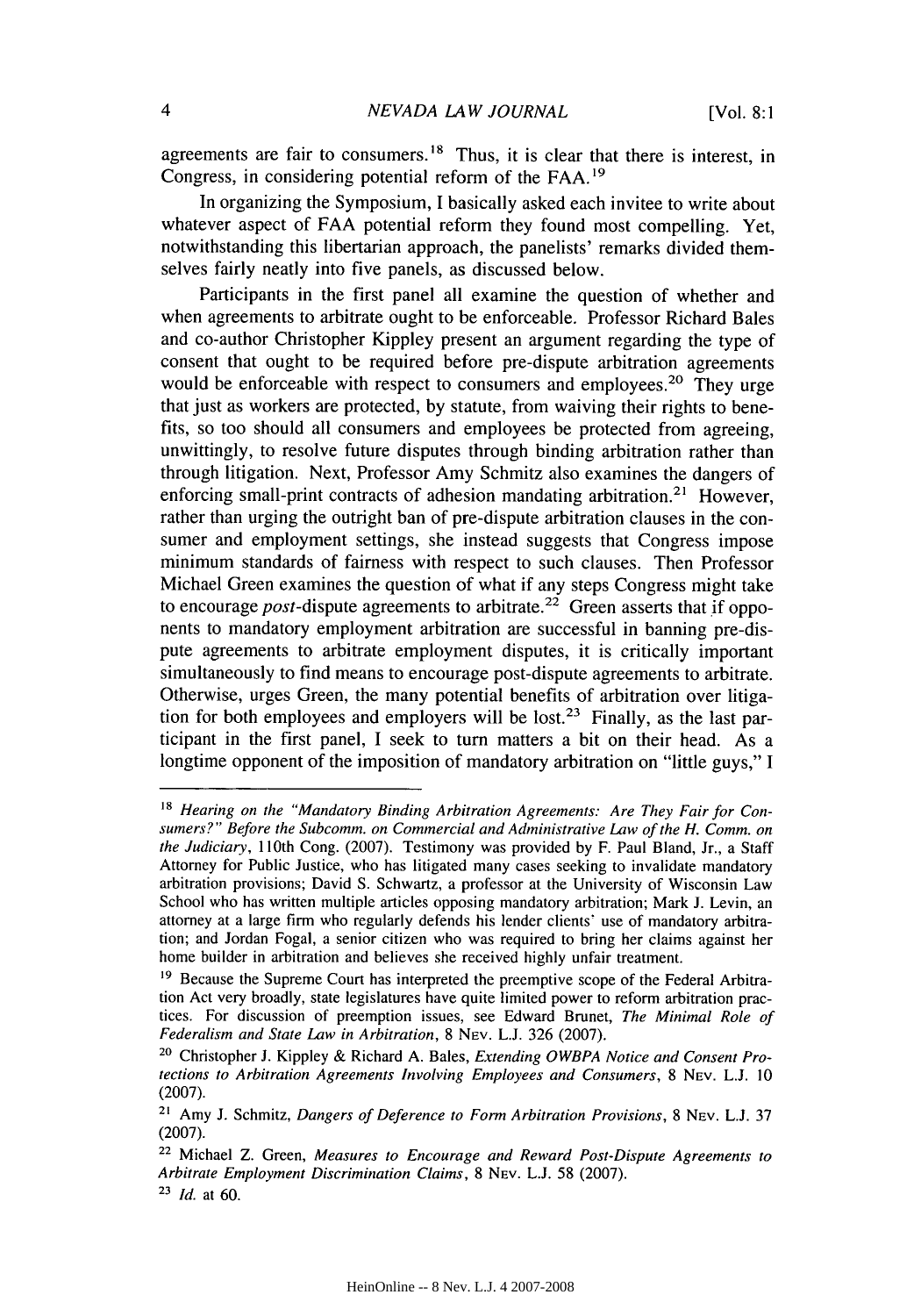agreements are fair to consumers. 18 Thus, it is clear that there is interest, in Congress, in considering potential reform of the FAA.<sup>19</sup>

In organizing the Symposium, I basically asked each invitee to write about whatever aspect of FAA potential reform they found most compelling. Yet, notwithstanding this libertarian approach, the panelists' remarks divided themselves fairly neatly into five panels, as discussed below.

Participants in the first panel all examine the question of whether and when agreements to arbitrate ought to be enforceable. Professor Richard Bales and co-author Christopher Kippley present an argument regarding the type of consent that ought to be required before pre-dispute arbitration agreements would be enforceable with respect to consumers and employees.<sup>20</sup> They urge that just as workers are protected, by statute, from waiving their rights to benefits, so too should all consumers and employees be protected from agreeing, unwittingly, to resolve future disputes through binding arbitration rather than through litigation. Next, Professor Amy Schmitz also examines the dangers of enforcing small-print contracts of adhesion mandating arbitration.<sup>21</sup> However, rather than urging the outright ban of pre-dispute arbitration clauses in the consumer and employment settings, she instead suggests that Congress impose minimum standards of fairness with respect to such clauses. Then Professor Michael Green examines the question of what if any steps Congress might take to encourage *post*-dispute agreements to arbitrate.<sup>22</sup> Green asserts that if opponents to mandatory employment arbitration are successful in banning pre-dispute agreements to arbitrate employment disputes, it is critically important simultaneously to find means to encourage post-dispute agreements to arbitrate. Otherwise, urges Green, the many potential benefits of arbitration over litigation for both employees and employers will be lost.<sup>23</sup> Finally, as the last participant in the first panel, I seek to turn matters a bit on their head. As a longtime opponent of the imposition of mandatory arbitration on "little guys," I

*<sup>18</sup> Hearing on the "Mandatory Binding Arbitration Agreements: Are They Fair for Consumers?" Before the Subcomm. on Commercial and Administrative Law of the H. Comm. on the Judiciary,* 110th Cong. (2007). Testimony was provided by F. Paul Bland, Jr., a Staff Attorney for Public Justice, who has litigated many cases seeking to invalidate mandatory arbitration provisions; David S. Schwartz, a professor at the University of Wisconsin Law School who has written multiple articles opposing mandatory arbitration; Mark J. Levin, an attorney at a large firm who regularly defends his lender clients' use of mandatory arbitration; and Jordan Fogal, a senior citizen who was required to bring her claims against her home builder in arbitration and believes she received highly unfair treatment.

<sup>&</sup>lt;sup>19</sup> Because the Supreme Court has interpreted the preemptive scope of the Federal Arbitration Act very broadly, state legislatures have quite limited power to reform arbitration practices. For discussion of preemption issues, see Edward Brunet, *The Minimal Role of Federalism and State Law in Arbitration,* 8 NEV. L.J. 326 (2007).

**<sup>20</sup>** Christopher J. Kippley & Richard A. Bales, *Extending OWBPA Notice and Consent Protections to Arbitration Agreements Involving Employees and Consumers,* 8 NEV. L.J. 10 (2007).

**<sup>21</sup>**Amy J. Schmitz, *Dangers of Deference to Form Arbitration Provisions,* 8 NEV. L.J. 37 (2007).

**<sup>22</sup>**Michael Z. Green, *Measures to Encourage and Reward Post-Dispute Agreements to Arbitrate Employment Discrimination Claims,* 8 NEv. L.J. 58 (2007).

**<sup>23</sup>***Id.* at 60.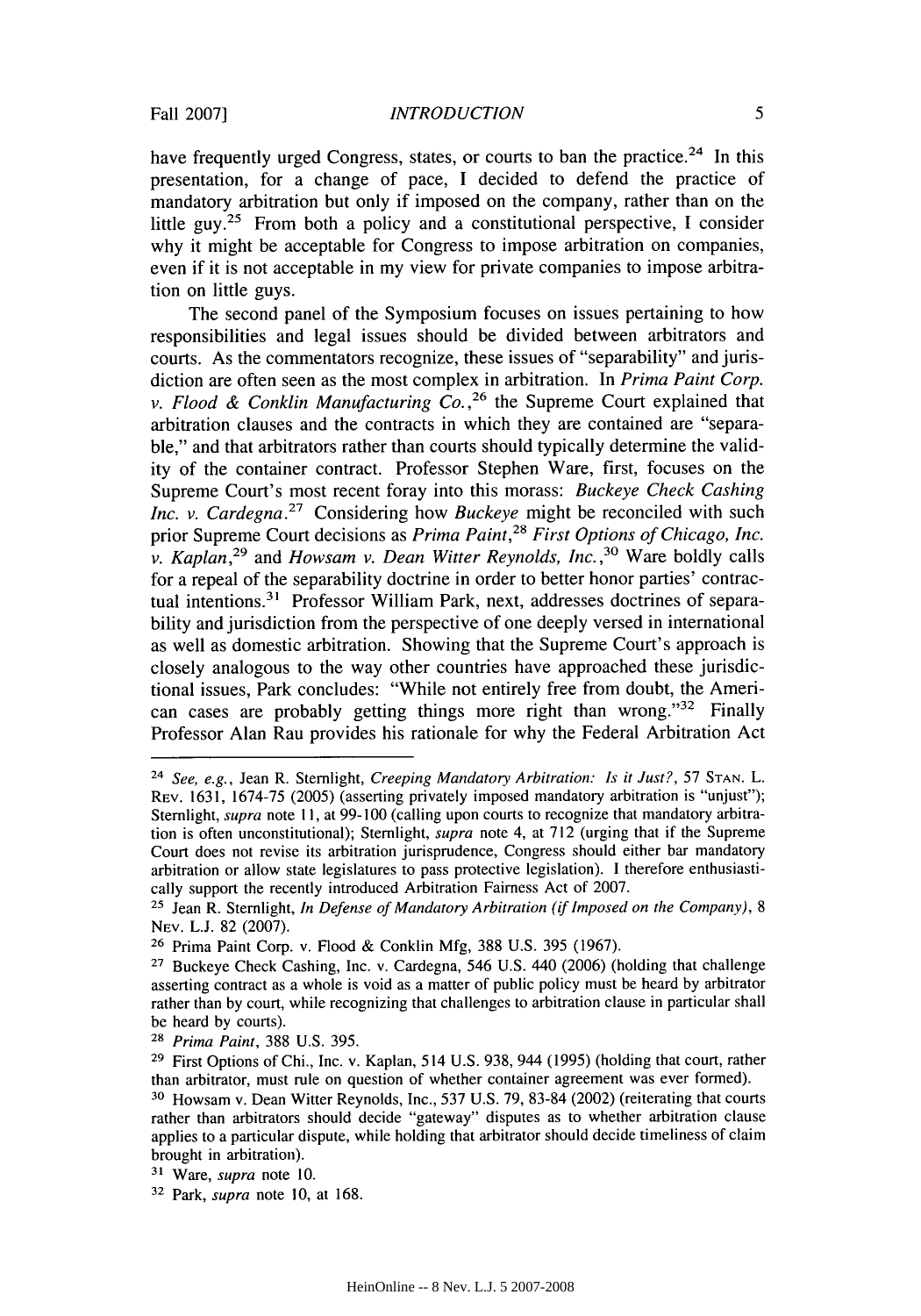have frequently urged Congress, states, or courts to ban the practice.<sup>24</sup> In this presentation, for a change of pace, I decided to defend the practice of mandatory arbitration but only if imposed on the company, rather than on the little guy.25 From both a policy and a constitutional perspective, I consider why it might be acceptable for Congress to impose arbitration on companies, even if it is not acceptable in my view for private companies to impose arbitration on little guys.

The second panel of the Symposium focuses on issues pertaining to how responsibilities and legal issues should be divided between arbitrators and courts. As the commentators recognize, these issues of "separability" and jurisdiction are often seen as the most complex in arbitration. In *Prima Paint Corp. v. Flood & Conklin Manufacturing*  $Co.$ *<sup>26</sup> the Supreme Court explained that* arbitration clauses and the contracts in which they are contained are "separable," and that arbitrators rather than courts should typically determine the validity of the container contract. Professor Stephen Ware, first, focuses on the Supreme Court's most recent foray into this morass: *Buckeye Check Cashing Inc. v. Cardegna.*<sup>27</sup> Considering how *Buckeye* might be reconciled with such prior Supreme Court decisions as *Prima Paint,28 First Options of Chicago, Inc. v. Kaplan,29* and *Howsam v. Dean Witter Reynolds, Inc.* **,30** Ware boldly calls for a repeal of the separability doctrine in order to better honor parties' contractual intentions.<sup>31</sup> Professor William Park, next, addresses doctrines of separability and jurisdiction from the perspective of one deeply versed in international as well as domestic arbitration. Showing that the Supreme Court's approach is closely analogous to the way other countries have approached these jurisdictional issues, Park concludes: "While not entirely free from doubt, the American cases are probably getting things more right than wrong."<sup>32</sup> Finally Professor Alan Rau provides his rationale for why the Federal Arbitration Act

**<sup>24</sup>***See, e.g.,* Jean R. Sternlight, *Creeping Mandatory Arbitration: Is it Just?,* 57 **STAN.** L. REV. 1631, 1674-75 (2005) (asserting privately imposed mandatory arbitration is "unjust"); Sternlight, *supra* note **11,** at 99-100 (calling upon courts to recognize that mandatory arbitration is often unconstitutional); Sternlight, *supra* note 4, at 712 (urging that if the Supreme Court does not revise its arbitration jurisprudence, Congress should either bar mandatory arbitration or allow state legislatures to pass protective legislation). I therefore enthusiastically support the recently introduced Arbitration Fairness Act of 2007.

**<sup>25</sup>**Jean R. Stemlight, *In Defense of Mandatory Arbitration* (if *Imposed on the Company), 8* NEV. L.J. 82 (2007).

**<sup>26</sup>**Prima Paint Corp. v. Flood & Conklin Mfg, 388 U.S. 395 (1967).

**<sup>27</sup>**Buckeye Check Cashing, Inc. v. Cardegna, 546 U.S. 440 (2006) (holding that challenge asserting contract as a whole is void as a matter of public policy must be heard by arbitrator rather than by court, while recognizing that challenges to arbitration clause in particular shall be heard by courts).

*<sup>28</sup>Prima Paint,* 388 U.S. 395.

**<sup>29</sup>**First Options of Chi., Inc. v. Kaplan, 514 U.S. 938, 944 (1995) (holding that court, rather than arbitrator, must rule on question of whether container agreement was ever formed).

**<sup>30</sup>**Howsam v. Dean Witter Reynolds, Inc., 537 U.S. 79, 83-84 (2002) (reiterating that courts rather than arbitrators should decide "gateway" disputes as to whether arbitration clause applies to a particular dispute, while holding that arbitrator should decide timeliness of claim brought in arbitration).

**<sup>31</sup>**Ware, *supra* note 10.

**<sup>32</sup>**Park, *supra* note 10, at 168.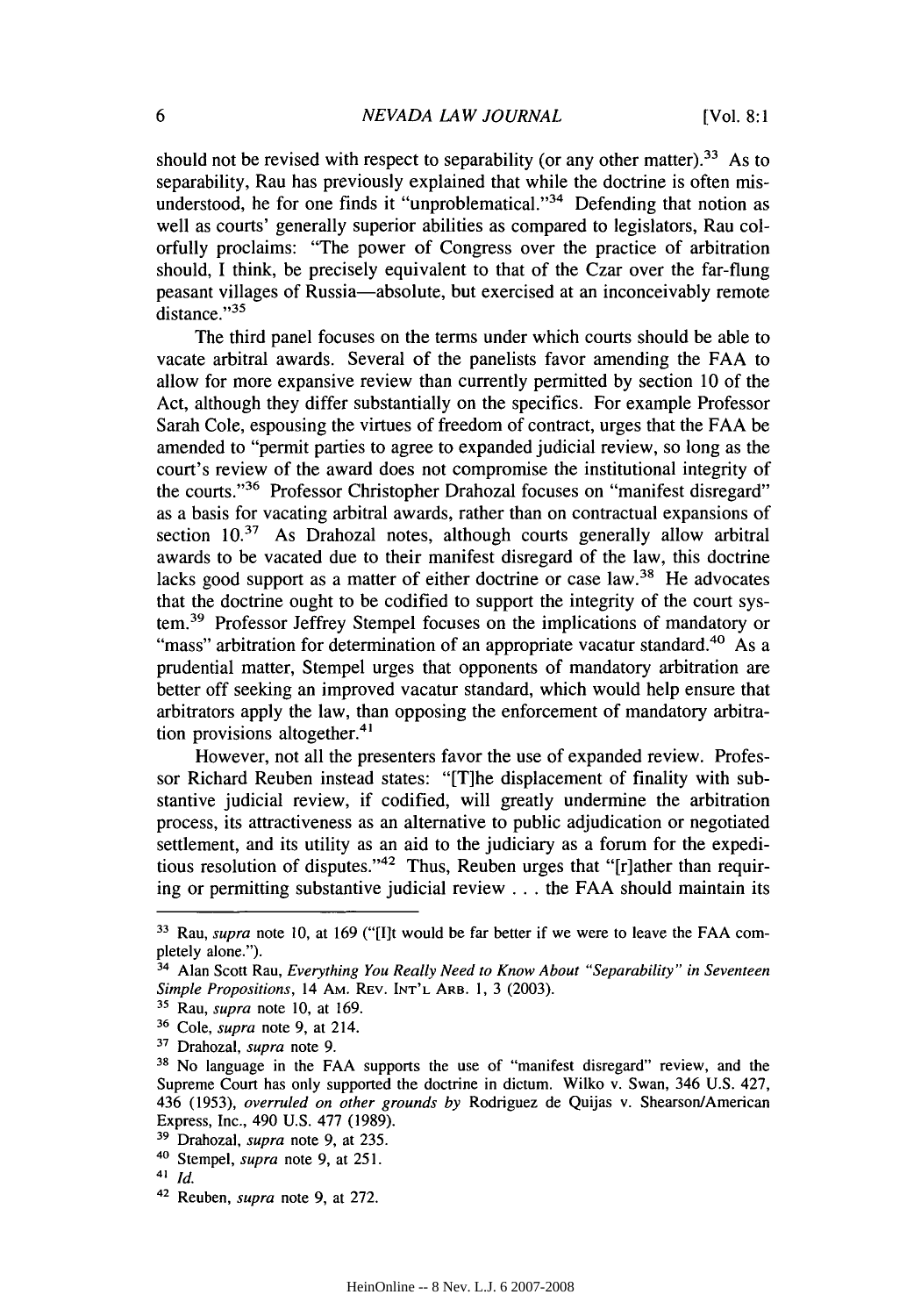should not be revised with respect to separability (or any other matter).<sup>33</sup> As to separability, Rau has previously explained that while the doctrine is often misunderstood, he for one finds it "unproblematical."<sup>34</sup> Defending that notion as well as courts' generally superior abilities as compared to legislators, Rau colorfully proclaims: "The power of Congress over the practice of arbitration should, I think, be precisely equivalent to that of the Czar over the far-flung peasant villages of Russia-absolute, but exercised at an inconceivably remote distance."35

The third panel focuses on the terms under which courts should be able to vacate arbitral awards. Several of the panelists favor amending the FAA to allow for more expansive review than currently permitted by section 10 of the Act, although they differ substantially on the specifics. For example Professor Sarah Cole, espousing the virtues of freedom of contract, urges that the FAA be amended to "permit parties to agree to expanded judicial review, so long as the court's review of the award does not compromise the institutional integrity of the courts."36 Professor Christopher Drahozal focuses on "manifest disregard" as a basis for vacating arbitral awards, rather than on contractual expansions of section 10.<sup>37</sup> As Drahozal notes, although courts generally allow arbitral awards to be vacated due to their manifest disregard of the law, this doctrine lacks good support as a matter of either doctrine or case law.<sup>38</sup> He advocates that the doctrine ought to be codified to support the integrity of the court system. 39 Professor Jeffrey Stempel focuses on the implications of mandatory or "mass" arbitration for determination of an appropriate vacatur standard.<sup>40</sup> As a prudential matter, Stempel urges that opponents of mandatory arbitration are better off seeking an improved vacatur standard, which would help ensure that arbitrators apply the law, than opposing the enforcement of mandatory arbitration provisions altogether. $41$ 

However, not all the presenters favor the use of expanded review. Professor Richard Reuben instead states: "[T]he displacement of finality with substantive judicial review, if codified, will greatly undermine the arbitration process, its attractiveness as an alternative to public adjudication or negotiated settlement, and its utility as an aid to the judiciary as a forum for the expeditious resolution of disputes."42 Thus, Reuben urges that "[r]ather than requiring or permitting substantive judicial review **...** the FAA should maintain its

**<sup>3&#</sup>x27;** Rau, supra note 10, at 169 ("[I]t would be far better if we were to leave the FAA completely alone.").

**<sup>34</sup>**Alan Scott Rau, *Everything You Really Need to Know About "Separability" in Seventeen Simple Propositions,* 14 AM. REV. INT'L ARB. **1,** 3 (2003).

**<sup>31</sup>**Rau, *supra* note 10, at 169.

**<sup>36</sup>**Cole, *supra* note 9, at 214.

<sup>7</sup> Drahozal, *supra* note 9.

**<sup>38</sup>**No language in the FAA supports the use of "manifest disregard" review, and the Supreme Court has only supported the doctrine in dictum. Wilko v. Swan, 346 U.S. 427, 436 (1953), *overruled on other grounds by* Rodriguez de Quijas v. Shearson/American Express, Inc., 490 U.S. 477 (1989).

**<sup>39</sup>**Drahozal, *supra* note 9, at 235.

**<sup>40</sup>**Stempel, *supra* note 9, at 251.

<sup>41</sup>*Id.* 42 Reuben, *supra* note 9, at 272.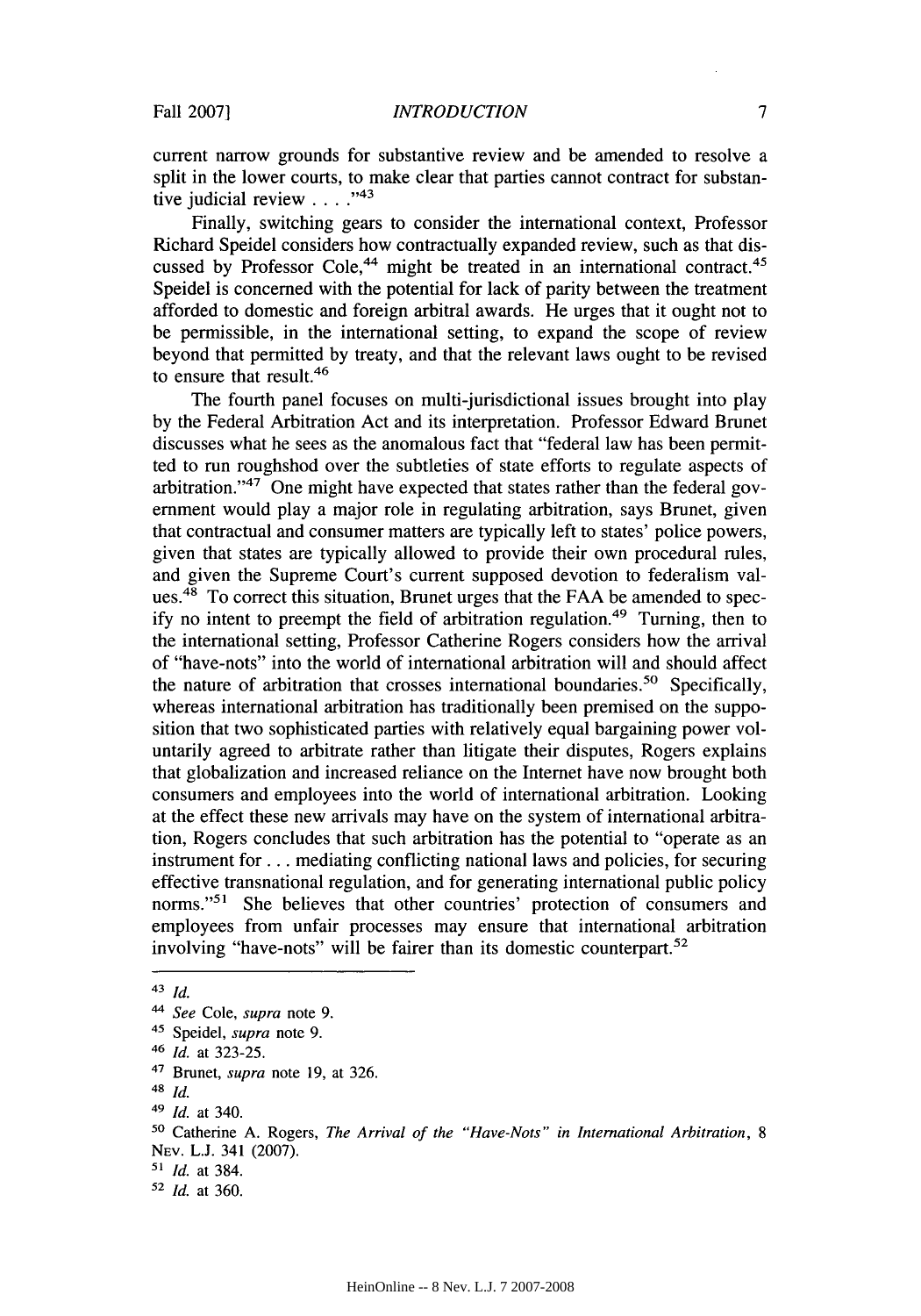current narrow grounds for substantive review and be amended to resolve a split in the lower courts, to make clear that parties cannot contract for substan tive judicial review . . . .<sup>743</sup>

Finally, switching gears to consider the international context, Professor Richard Speidel considers how contractually expanded review, such as that discussed by Professor Cole,<sup>44</sup> might be treated in an international contract.<sup>45</sup> Speidel is concerned with the potential for lack of parity between the treatment afforded to domestic and foreign arbitral awards. He urges that it ought not to be permissible, in the international setting, to expand the scope of review beyond that permitted by treaty, and that the relevant laws ought to be revised to ensure that result.<sup>46</sup>

The fourth panel focuses on multi-jurisdictional issues brought into play by the Federal Arbitration Act and its interpretation. Professor Edward Brunet discusses what he sees as the anomalous fact that "federal law has been permitted to run roughshod over the subtleties of state efforts to regulate aspects of arbitration."47 One might have expected that states rather than the federal government would play a major role in regulating arbitration, says Brunet, given that contractual and consumer matters are typically left to states' police powers, given that states are typically allowed to provide their own procedural rules, and given the Supreme Court's current supposed devotion to federalism values.<sup>48</sup> To correct this situation, Brunet urges that the FAA be amended to specify no intent to preempt the field of arbitration regulation. 49 Turning, then to the international setting, Professor Catherine Rogers considers how the arrival of "have-nots" into the world of international arbitration will and should affect the nature of arbitration that crosses international boundaries.<sup>50</sup> Specifically, whereas international arbitration has traditionally been premised on the supposition that two sophisticated parties with relatively equal bargaining power voluntarily agreed to arbitrate rather than litigate their disputes, Rogers explains that globalization and increased reliance on the Internet have now brought both consumers and employees into the world of international arbitration. Looking at the effect these new arrivals may have on the system of international arbitration, Rogers concludes that such arbitration has the potential to "operate as an instrument for.., mediating conflicting national laws and policies, for securing effective transnational regulation, and for generating international public policy norms."<sup>51</sup> She believes that other countries' protection of consumers and employees from unfair processes may ensure that international arbitration involving "have-nots" will be fairer than its domestic counterpart.<sup>52</sup>

<sup>43</sup>*Id.*

*<sup>4</sup> See* Cole, *supra* note 9.

<sup>41</sup> Speidel, *supra* note 9.

<sup>46</sup>*Id.* at 323-25.

<sup>47</sup> Brunet, *supra* note 19, at 326.

<sup>48</sup> *Id.*

<sup>49</sup> *Id.* at 340.

**<sup>50</sup>**Catherine A. Rogers, *The Arrival of the "Have-Nots" in International Arbitration, 8* NEV. L.J. 341 (2007).

*<sup>51</sup>Id.* at 384.

**<sup>52</sup>***Id.* at 360.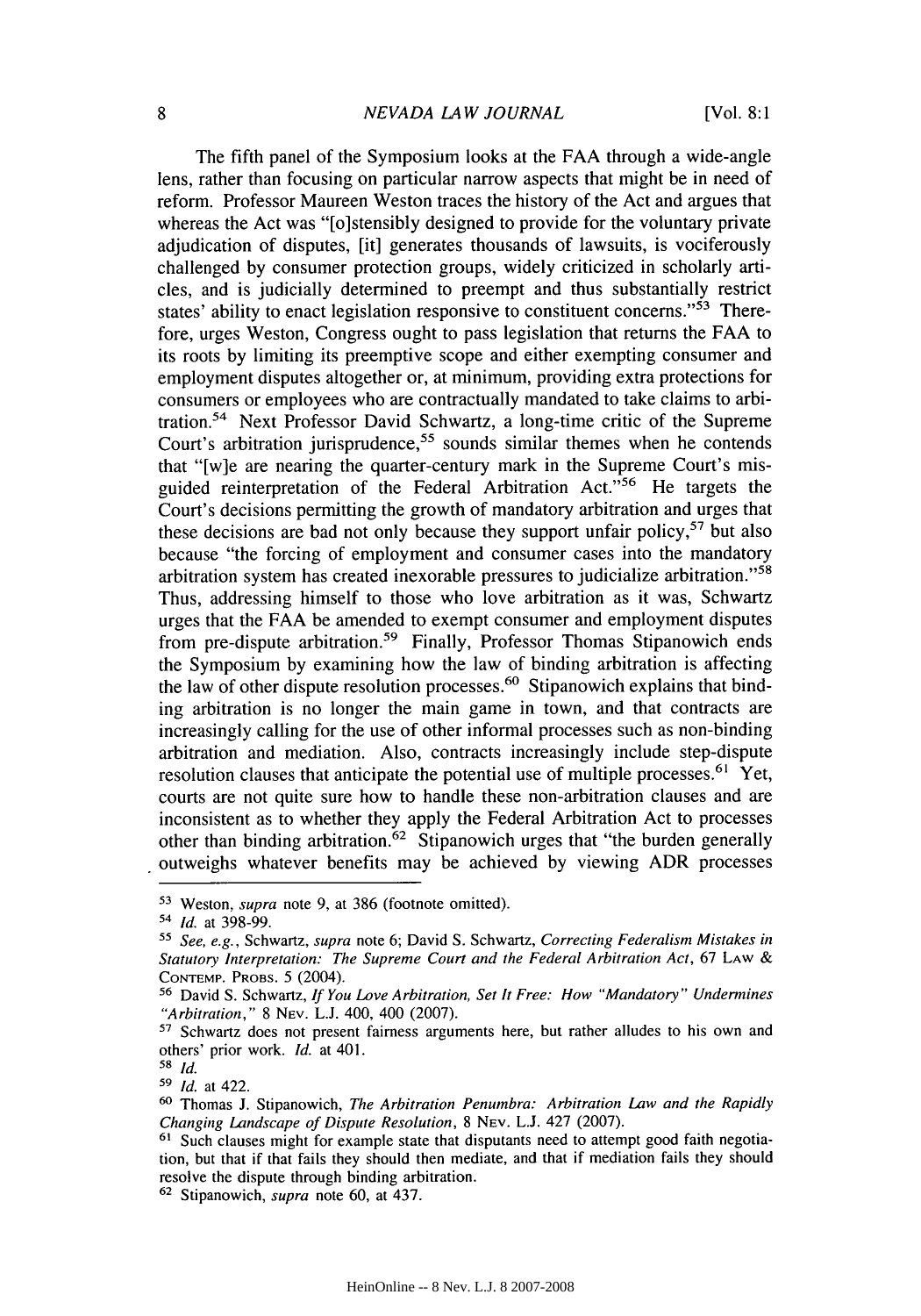The fifth panel of the Symposium looks at the FAA through a wide-angle lens, rather than focusing on particular narrow aspects that might be in need of reform. Professor Maureen Weston traces the history of the Act and argues that whereas the Act was "[o]stensibly designed to provide for the voluntary private adjudication of disputes, [it] generates thousands of lawsuits, is vociferously challenged by consumer protection groups, widely criticized in scholarly articles, and is judicially determined to preempt and thus substantially restrict states' ability to enact legislation responsive to constituent concerns."<sup>53</sup> Therefore, urges Weston, Congress ought to pass legislation that returns the FAA to its roots by limiting its preemptive scope and either exempting consumer and employment disputes altogether or, at minimum, providing extra protections for consumers or employees who are contractually mandated to take claims to arbitration.54 Next Professor David Schwartz, a long-time critic of the Supreme Court's arbitration jurisprudence,<sup>55</sup> sounds similar themes when he contends that "[w]e are nearing the quarter-century mark in the Supreme Court's misguided reinterpretation of the Federal Arbitration Act."<sup>56</sup> He targets the Court's decisions permitting the growth of mandatory arbitration and urges that these decisions are bad not only because they support unfair policy,<sup>57</sup> but also because "the forcing of employment and consumer cases into the mandatory arbitration system has created inexorable pressures to judicialize arbitration."<sup>58</sup> Thus, addressing himself to those who love arbitration as it was, Schwartz urges that the FAA be amended to exempt consumer and employment disputes from pre-dispute arbitration.59 Finally, Professor Thomas Stipanowich ends the Symposium by examining how the law of binding arbitration is affecting the law of other dispute resolution processes.<sup>60</sup> Stipanowich explains that binding arbitration is no longer the main game in town, and that contracts are increasingly calling for the use of other informal processes such as non-binding arbitration and mediation. Also, contracts increasingly include step-dispute resolution clauses that anticipate the potential use of multiple processes.<sup>61</sup> Yet, courts are not quite sure how to handle these non-arbitration clauses and are inconsistent as to whether they apply the Federal Arbitration Act to processes other than binding arbitration.<sup>62</sup> Stipanowich urges that "the burden generally outweighs whatever benefits may be achieved by viewing ADR processes

**<sup>53</sup>**Weston, supra note 9, at **386** (footnote omitted).

*<sup>54</sup> Id.* at 398-99.

*<sup>51</sup>See, e.g.,* Schwartz, *supra* note 6; David S. Schwartz, *Correcting Federalism Mistakes in* Statutory *Interpretation: The Supreme Court and the Federal Arbitration Act,* 67 LAW & **CONTEMP.** PROBS. 5 (2004).

**<sup>56</sup>**David S. Schwartz, *If You Love Arbitration, Set It Free: How "Mandatory" Undermines "Arbitration,"* 8 NEV. L.J. 400, 400 (2007).

<sup>&</sup>lt;sup>57</sup> Schwartz does not present fairness arguments here, but rather alludes to his own and others' prior work. *Id.* at 401.

**<sup>58</sup>** *Id.*

**<sup>59</sup>***Id.* at 422.

**<sup>(</sup>I** Thomas **J.** Stipanowich, *The Arbitration Penumbra: Arbitration Law and the Rapidly Changing Landscape of Dispute Resolution,* **8** NEV. L.J. 427 (2007).

**<sup>61</sup>** Such clauses might for example state that disputants need to attempt good faith negotiation, but that if that fails they should then mediate, and that if mediation fails they should resolve the dispute through binding arbitration.

**<sup>62</sup>**Stipanowich, *supra* note 60, at 437.